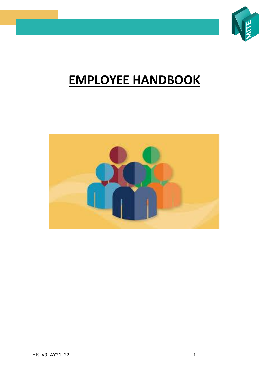

# **EMPLOYEE HANDBOOK**

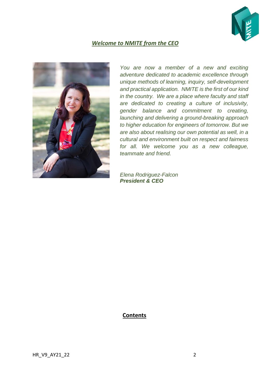

# *Welcome to NMITE from the CEO*



*You are now a member of a new and exciting adventure dedicated to academic excellence through unique methods of learning, inquiry, self-development and practical application. NMITE is the first of our kind in the country. We are a place where faculty and staff are dedicated to creating a culture of inclusivity, gender balance and commitment to creating, launching and delivering a ground-breaking approach to higher education for engineers of tomorrow. But we are also about realising our own potential as well, in a cultural and environment built on respect and fairness for all. We welcome you as a new colleague, teammate and friend.*

*Elena Rodriguez-Falcon President & CEO*

#### **Contents**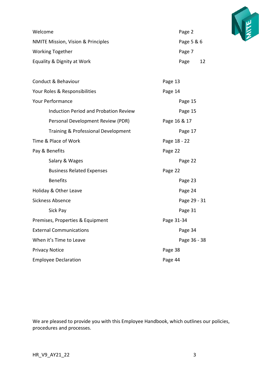

| Welcome                                       | Page 2     |    |
|-----------------------------------------------|------------|----|
| <b>NMITE Mission, Vision &amp; Principles</b> | Page 5 & 6 |    |
| <b>Working Together</b>                       | Page 7     |    |
| Equality & Dignity at Work                    | Page       | 12 |

| Conduct & Behaviour                          | Page 13      |  |
|----------------------------------------------|--------------|--|
| Your Roles & Responsibilities                | Page 14      |  |
| <b>Your Performance</b>                      | Page 15      |  |
| <b>Induction Period and Probation Review</b> | Page 15      |  |
| Personal Development Review (PDR)            | Page 16 & 17 |  |
| Training & Professional Development          | Page 17      |  |
| Time & Place of Work                         | Page 18 - 22 |  |
| Pay & Benefits                               | Page 22      |  |
| Salary & Wages                               | Page 22      |  |
| <b>Business Related Expenses</b>             | Page 22      |  |
| <b>Benefits</b>                              | Page 23      |  |
| Holiday & Other Leave                        | Page 24      |  |
| <b>Sickness Absence</b>                      | Page 29 - 31 |  |
| Sick Pay                                     | Page 31      |  |
| Premises, Properties & Equipment             | Page 31-34   |  |
| <b>External Communications</b>               | Page 34      |  |
| When it's Time to Leave                      | Page 36 - 38 |  |
| <b>Privacy Notice</b>                        | Page 38      |  |
| <b>Employee Declaration</b>                  | Page 44      |  |

We are pleased to provide you with this Employee Handbook, which outlines our policies, procedures and processes.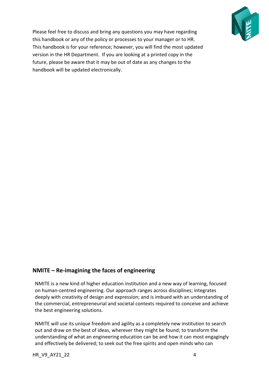

Please feel free to discuss and bring any questions you may have regarding this handbook or any of the policy or processes to your manager or to HR. This handbook is for your reference; however, you will find the most updated version in the HR Department. If you are looking at a printed copy in the future, please be aware that it may be out of date as any changes to the handbook will be updated electronically.

# **NMITE – Re-imagining the faces of engineering**

NMITE is a new kind of higher education institution and a new way of learning, focused on human-centred engineering. Our approach ranges across disciplines; integrates deeply with creativity of design and expression; and is imbued with an understanding of the commercial, entrepreneurial and societal contexts required to conceive and achieve the best engineering solutions.

NMITE will use its unique freedom and agility as a completely new institution to search out and draw on the best of ideas, wherever they might be found; to transform the understanding of what an engineering education can be and how it can most engagingly and effectively be delivered; to seek out the free spirits and open minds who can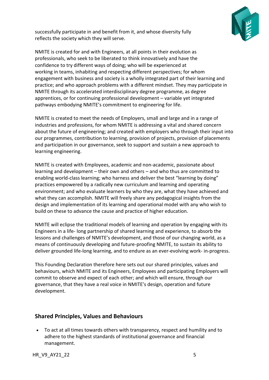

successfully participate in and benefit from it, and whose diversity fully reflects the society which they will serve.

NMITE is created for and with Engineers, at all points in their evolution as professionals, who seek to be liberated to think innovatively and have the confidence to try different ways of doing; who will be experienced at working in teams, inhabiting and respecting different perspectives; for whom engagement with business and society is a wholly integrated part of their learning and practice; and who approach problems with a different mindset. They may participate in NMITE through its accelerated interdisciplinary degree programme, as degree apprentices, or for continuing professional development – variable yet integrated pathways embodying NMITE's commitment to engineering for life.

NMITE is created to meet the needs of Employers, small and large and in a range of industries and professions, for whom NMITE is addressing a vital and shared concern about the future of engineering; and created with employers who through their input into our programmes, contribution to learning, provision of projects, provision of placements and participation in our governance, seek to support and sustain a new approach to learning engineering.

NMITE is created with Employees, academic and non-academic, passionate about learning and development – their own and others – and who thus are committed to enabling world-class learning; who harness and deliver the best "learning by doing" practices empowered by a radically new curriculum and learning and operating environment; and who evaluate learners by who they are, what they have achieved and what they can accomplish. NMITE will freely share any pedagogical insights from the design and implementation of its learning and operational model with any who wish to build on these to advance the cause and practice of higher education.

NMITE will eclipse the traditional models of learning and operation by engaging with its Engineers in a life- long partnership of shared learning and experience, to absorb the lessons and challenges of NMITE's development, and those of our changing world, as a means of continuously developing and future-proofing NMITE, to sustain its ability to deliver grounded life-long learning, and to endure as an ever-evolving work- in-progress.

This Founding Declaration therefore here sets out our shared principles, values and behaviours, which NMITE and its Engineers, Employees and participating Employers will commit to observe and expect of each other; and which will ensure, through our governance, that they have a real voice in NMITE's design, operation and future development.

## **Shared Principles, Values and Behaviours**

• To act at all times towards others with transparency, respect and humility and to adhere to the highest standards of institutional governance and financial management.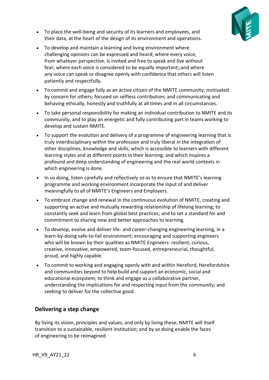

- To place the well-being and security of its learners and employees, and their data, at the heart of the design of its environment and operations.
- To develop and maintain a learning and living environment where challenging opinions can be expressed and heard; where every voice, from whatever perspective, is invited and free to speak and live without fear; where each voice is considered to be equally important;;and where any voice can speak or disagree openly with confidence that others will listen patiently and respectfully.
- To commit and engage fully as an active citizen of the NMITE community; motivated by concern for others; focused on selfless contribution; and communicating and behaving ethically, honestly and truthfully at all times and in all circumstances.
- To take personal responsibility for making an individual contribution to NMITE and its community, and to play an energetic and fully contributing part in teams working to develop and sustain NMITE.
- To support the evolution and delivery of a programme of engineering learning that is truly interdisciplinary within the profession and truly liberal in the integration of other disciplines, knowledge and skills; which is accessible to learners with different learning styles and at different points in their learning; and which inspires a profound and deep understanding of engineering and the real world contexts in which engineering is done.
- In so doing, listen carefully and reflectively so as to ensure that NMITE's learning programme and working environment incorporate the input of and deliver meaningfully to all of NMITE's Engineers and Employers.
- To embrace change and renewal in the continuous evolution of NMITE, creating and supporting an active and mutually rewarding relationship of lifelong learning; to constantly seek and learn from global best practices; and to set a standard for and commitment to sharing new and better approaches to learning.
- To develop, evolve and deliver life- and career-changing engineering learning, in a learn-by-doing safe-to-fail environment; encouraging and supporting engineers who will be known by their qualities as NMITE Engineers: resilient, curious, creative, innovative, empowered, team-focused, entrepreneurial, thoughtful, proud, and highly capable.
- To commit to working and engaging openly with and within Hereford, Herefordshire and communities beyond to help build and support an economic, social and educational ecosystem; to think and engage as a collaborative partner, understanding the implications for and respecting input from the community; and seeking to deliver for the collective good.

# **Delivering a step change**

By living its vision, principles and values, and only by living these, NMITE will itself transition to a sustainable, resilient institution; and by so doing enable the faces of engineering to be reimagined.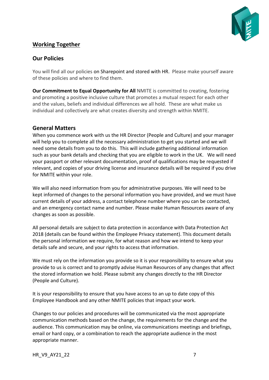

# **Working Together**

## **Our Policies**

You will find all our policies on Sharepoint and stored with HR. Please make yourself aware of these policies and where to find them.

**Our Commitment to Equal Opportunity for All** NMITE is committed to creating, fostering and promoting a positive inclusive culture that promotes a mutual respect for each other and the values, beliefs and individual differences we all hold. These are what make us individual and collectively are what creates diversity and strength within NMITE.

## **General Matters**

When you commence work with us the HR Director (People and Culture) and your manager will help you to complete all the necessary administration to get you started and we will need some details from you to do this. This will include gathering additional information such as your bank details and checking that you are eligible to work in the UK. We will need your passport or other relevant documentation, proof of qualifications may be requested if relevant, and copies of your driving license and insurance details will be required if you drive for NMITE within your role.

We will also need information from you for administrative purposes. We will need to be kept informed of changes to the personal information you have provided, and we must have current details of your address, a contact telephone number where you can be contacted, and an emergency contact name and number. Please make Human Resources aware of any changes as soon as possible.

All personal details are subject to data protection in accordance with Data Protection Act 2018 (details can be found within the Employee Privacy statement). This document details the personal information we require, for what reason and how we intend to keep your details safe and secure, and your rights to access that information.

We must rely on the information you provide so it is your responsibility to ensure what you provide to us is correct and to promptly advise Human Resources of any changes that affect the stored information we hold. Please submit any changes directly to the HR Director (People and Culture).

It is your responsibility to ensure that you have access to an up to date copy of this Employee Handbook and any other NMITE policies that impact your work.

Changes to our policies and procedures will be communicated via the most appropriate communication methods based on the change, the requirements for the change and the audience. This communication may be online, via communications meetings and briefings, email or hard copy, or a combination to reach the appropriate audience in the most appropriate manner.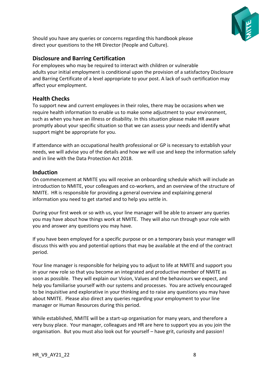

Should you have any queries or concerns regarding this handbook please direct your questions to the HR Director (People and Culture).

## **Disclosure and Barring Certification**

For employees who may be required to interact with children or vulnerable adults your initial employment is conditional upon the provision of a satisfactory Disclosure and Barring Certificate of a level appropriate to your post. A lack of such certification may affect your employment.

#### **Health Checks**

To support new and current employees in their roles, there may be occasions when we require health information to enable us to make some adjustment to your environment, such as when you have an illness or disability. In this situation please make HR aware promptly about your specific situation so that we can assess your needs and identify what support might be appropriate for you.

If attendance with an occupational health professional or GP is necessary to establish your needs, we will advise you of the details and how we will use and keep the information safely and in line with the Data Protection Act 2018.

#### **Induction**

On commencement at NMITE you will receive an onboarding schedule which will include an introduction to NMITE, your colleagues and co-workers, and an overview of the structure of NMITE. HR is responsible for providing a general overview and explaining general information you need to get started and to help you settle in.

During your first week or so with us, your line manager will be able to answer any queries you may have about how things work at NMITE. They will also run through your role with you and answer any questions you may have.

If you have been employed for a specific purpose or on a temporary basis your manager will discuss this with you and potential options that may be available at the end of the contract period.

Your line manager is responsible for helping you to adjust to life at NMITE and support you in your new role so that you become an integrated and productive member of NMITE as soon as possible. They will explain our Vision, Values and the behaviours we expect, and help you familiarise yourself with our systems and processes. You are actively encouraged to be inquisitive and explorative in your thinking and to raise any questions you may have about NMITE. Please also direct any queries regarding your employment to your line manager or Human Resources during this period.

While established, NMITE will be a start-up organisation for many years, and therefore a very busy place. Your manager, colleagues and HR are here to support you as you join the organisation. But you must also look out for yourself – have grit, curiosity and passion!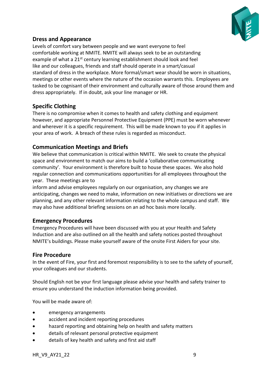

# **Dress and Appearance**

Levels of comfort vary between people and we want everyone to feel comfortable working at NMITE. NMITE will always seek to be an outstanding example of what a  $21^{st}$  century learning establishment should look and feel like and our colleagues, friends and staff should operate in a smart/casual standard of dress in the workplace. More formal/smart wear should be worn in situations, meetings or other events where the nature of the occasion warrants this. Employees are tasked to be cognisant of their environment and culturally aware of those around them and dress appropriately. If in doubt, ask your line manager or HR.

# **Specific Clothing**

There is no compromise when it comes to health and safety clothing and equipment however, and appropriate Personnel Protective Equipment (PPE) must be worn whenever and wherever it is a specific requirement. This will be made known to you if it applies in your area of work. A breach of these rules is regarded as misconduct.

## **Communication Meetings and Briefs**

We believe that communication is critical within NMITE. We seek to create the physical space and environment to match our aims to build a 'collaborative communicating community'. Your environment is therefore built to house these spaces. We also hold regular connection and communications opportunities for all employees throughout the year. These meetings are to

inform and advise employees regularly on our organisation, any changes we are anticipating, changes we need to make, information on new initiatives or directions we are planning, and any other relevant information relating to the whole campus and staff. We may also have additional briefing sessions on an ad hoc basis more locally.

## **Emergency Procedures**

Emergency Procedures will have been discussed with you at your Health and Safety Induction and are also outlined on all the health and safety notices posted throughout NMITE's buildings. Please make yourself aware of the onsite First Aiders for your site.

#### **Fire Procedure**

In the event of Fire, your first and foremost responsibility is to see to the safety of yourself, your colleagues and our students.

Should English not be your first language please advise your health and safety trainer to ensure you understand the induction information being provided.

You will be made aware of:

- emergency arrangements
- accident and incident reporting procedures
- hazard reporting and obtaining help on health and safety matters
- details of relevant personal protective equipment
- details of key health and safety and first aid staff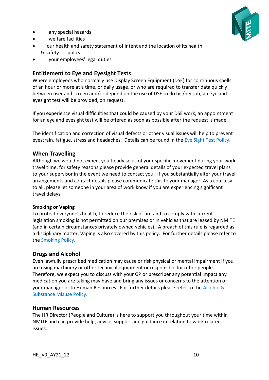any special hazards



- 
- welfare facilities
- our health and safety statement of intent and the location of its health & safety policy
- your employees' legal duties

# **Entitlement to Eye and Eyesight Tests**

Where employees who normally use Display Screen Equipment (DSE) for continuous spells of an hour or more at a time, or daily usage, or who are required to transfer data quickly between user and screen and/or depend on the use of DSE to do his/her job, an eye and eyesight test will be provided, on request.

If you experience visual difficulties that could be caused by your DSE work, an appointment for an eye and eyesight test will be offered as soon as possible after the request is made.

The identification and correction of visual defects or other visual issues will help to prevent eyestrain, fatigue, stress and headaches. Details can be found in the Eye Sight Test Policy.

# **When Travelling**

Although we would not expect you to advise us of your specific movement during your work travel time, for safety reasons please provide general details of your expected travel plans to your supervisor in the event we need to contact you. If you substantially alter your travel arrangements and contact details please communicate this to your manager. As a courtesy to all, please let someone in your area of work know if you are experiencing significant travel delays.

## **Smoking or Vaping**

To protect everyone's health, to reduce the risk of fire and to comply with current legislation smoking is not permitted on our premises or in vehicles that are leased by NMITE (and in certain circumstances privately owned vehicles). A breach of this rule is regarded as a disciplinary matter. Vaping is also covered by this policy. For further details please refer to the Smoking Policy.

## **Drugs and Alcohol**

Even lawfully prescribed medication may cause or risk physical or mental impairment if you are using machinery or other technical equipment or responsible for other people. Therefore, we expect you to discuss with your GP or prescriber any potential impact any medication you are taking may have and bring any issues or concerns to the attention of your manager or to Human Resources. For further details please refer to the Alcohol & Substance Misuse Policy.

## **Human Resources**

The HR Director (People and Culture) is here to support you throughout your time within NMITE and can provide help, advice, support and guidance in relation to work related issues.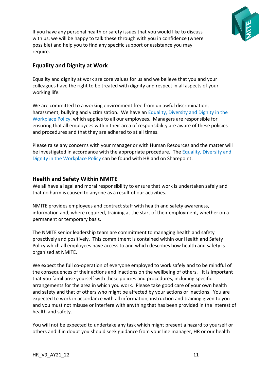

If you have any personal health or safety issues that you would like to discuss with us, we will be happy to talk these through with you in confidence (where possible) and help you to find any specific support or assistance you may require.

# **Equality and Dignity at Work**

Equality and dignity at work are core values for us and we believe that you and your colleagues have the right to be treated with dignity and respect in all aspects of your working life.

We are committed to a working environment free from unlawful discrimination, harassment, bullying and victimisation. We have an Equality, Diversity and Dignity in the Workplace Policy, which applies to all our employees. Managers are responsible for ensuring that all employees within their area of responsibility are aware of these policies and procedures and that they are adhered to at all times.

Please raise any concerns with your manager or with Human Resources and the matter will be investigated in accordance with the appropriate procedure. The Equality, Diversity and Dignity in the Workplace Policy can be found with HR and on Sharepoint.

## **Health and Safety Within NMITE**

We all have a legal and moral responsibility to ensure that work is undertaken safely and that no harm is caused to anyone as a result of our activities.

NMITE provides employees and contract staff with health and safety awareness, information and, where required, training at the start of their employment, whether on a permanent or temporary basis.

The NMITE senior leadership team are commitment to managing health and safety proactively and positively. This commitment is contained within our Health and Safety Policy which all employees have access to and which describes how health and safety is organised at NMITE.

We expect the full co-operation of everyone employed to work safely and to be mindful of the consequences of their actions and inactions on the wellbeing of others. It is important that you familiarise yourself with these policies and procedures, including specific arrangements for the area in which you work. Please take good care of your own health and safety and that of others who might be affected by your actions or inactions. You are expected to work in accordance with all information, instruction and training given to you and you must not misuse or interfere with anything that has been provided in the interest of health and safety.

You will not be expected to undertake any task which might present a hazard to yourself or others and if in doubt you should seek guidance from your line manager, HR or our health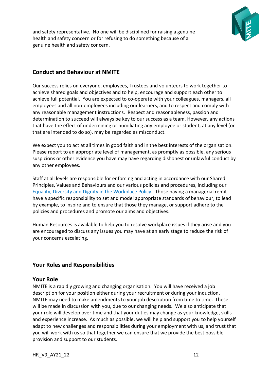

and safety representative. No one will be disciplined for raising a genuine health and safety concern or for refusing to do something because of a genuine health and safety concern.

# **Conduct and Behaviour at NMITE**

Our success relies on everyone, employees, Trustees and volunteers to work together to achieve shared goals and objectives and to help, encourage and support each other to achieve full potential. You are expected to co-operate with your colleagues, managers, all employees and all non-employees including our learners, and to respect and comply with any reasonable management instructions. Respect and reasonableness, passion and determination to succeed will always be key to our success as a team. However, any actions that have the effect of undermining or humiliating any employee or student, at any level (or that are intended to do so), may be regarded as misconduct.

We expect you to act at all times in good faith and in the best interests of the organisation. Please report to an appropriate level of management, as promptly as possible, any serious suspicions or other evidence you have may have regarding dishonest or unlawful conduct by any other employees.

Staff at all levels are responsible for enforcing and acting in accordance with our Shared Principles, Values and Behaviours and our various policies and procedures, including our Equality, Diversity and Dignity in the Workplace Policy. Those having a managerial remit have a specific responsibility to set and model appropriate standards of behaviour, to lead by example, to inspire and to ensure that those they manage, or support adhere to the policies and procedures and promote our aims and objectives.

Human Resources is available to help you to resolve workplace issues if they arise and you are encouraged to discuss any issues you may have at an early stage to reduce the risk of your concerns escalating.

# **Your Roles and Responsibilities**

#### **Your Role**

NMITE is a rapidly growing and changing organisation. You will have received a job description for your position either during your recruitment or during your induction. NMITE may need to make amendments to your job description from time to time. These will be made in discussion with you, due to our changing needs. We also anticipate that your role will develop over time and that your duties may change as your knowledge, skills and experience increase. As much as possible, we will help and support you to help yourself adapt to new challenges and responsibilities during your employment with us, and trust that you will work with us so that together we can ensure that we provide the best possible provision and support to our students.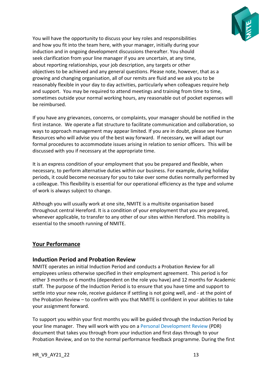

You will have the opportunity to discuss your key roles and responsibilities and how you fit into the team here, with your manager, initially during your induction and in ongoing development discussions thereafter. You should seek clarification from your line manager if you are uncertain, at any time, about reporting relationships, your job description, any targets or other objectives to be achieved and any general questions. Please note, however, that as a growing and changing organisation, all of our remits are fluid and we ask you to be reasonably flexible in your day to day activities, particularly when colleagues require help and support. You may be required to attend meetings and training from time to time, sometimes outside your normal working hours, any reasonable out of pocket expenses will be reimbursed.

If you have any grievances, concerns, or complaints, your manager should be notified in the first instance. We operate a flat structure to facilitate communication and collaboration, so ways to approach management may appear limited. If you are in doubt, please see Human Resources who will advise you of the best way forward. If necessary, we will adapt our formal procedures to accommodate issues arising in relation to senior officers. This will be discussed with you if necessary at the appropriate time.

It is an express condition of your employment that you be prepared and flexible, when necessary, to perform alternative duties within our business. For example, during holiday periods, it could become necessary for you to take over some duties normally performed by a colleague. This flexibility is essential for our operational efficiency as the type and volume of work is always subject to change.

Although you will usually work at one site, NMITE is a multisite organisation based throughout central Hereford. It is a condition of your employment that you are prepared, whenever applicable, to transfer to any other of our sites within Hereford. This mobility is essential to the smooth running of NMITE.

## **Your Performance**

## **Induction Period and Probation Review**

NMITE operates an initial Induction Period and conducts a Probation Review for all employees unless otherwise specified in their employment agreement. This period is for either 3 months or 6 months (dependent on the role you have) and 12 months for Academic staff. The purpose of the Induction Period is to ensure that you have time and support to settle into your new role, receive guidance if settling is not going well, and - at the point of the Probation Review – to confirm with you that NMITE is confident in your abilities to take your assignment forward.

To support you within your first months you will be guided through the Induction Period by your line manager. They will work with you on a Personal Development Review (PDR) document that takes you through from your induction and first days through to your Probation Review, and on to the normal performance feedback programme. During the first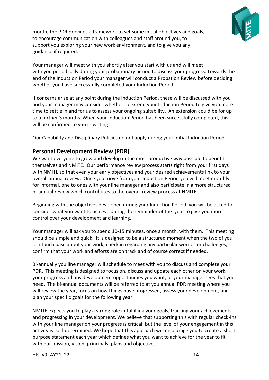

month, the PDR provides a framework to set some initial objectives and goals, to encourage communication with colleagues and staff around you, to support you exploring your new work environment, and to give you any guidance if required.

Your manager will meet with you shortly after you start with us and will meet with you periodically during your probationary period to discuss your progress. Towards the end of the Induction Period your manager will conduct a Probation Review before deciding whether you have successfully completed your Induction Period.

If concerns arise at any point during the Induction Period, these will be discussed with you and your manager may consider whether to extend your Induction Period to give you more time to settle in and for us to assess your ongoing suitability. An extension could be for up to a further 3 months. When your Induction Period has been successfully completed, this will be confirmed to you in writing.

Our Capability and Disciplinary Policies do not apply during your initial Induction Period.

## **Personal Development Review (PDR)**

We want everyone to grow and develop in the most productive way possible to benefit themselves and NMITE. Our performance review process starts right from your first days with NMITE so that even your early objectives and your desired achievements link to your overall annual review. Once you move from your Induction Period you will meet monthly for informal, one to ones with your line manager and also participate in a more structured bi-annual review which contributes to the overall review process at NMITE.

Beginning with the objectives developed during your Induction Period, you will be asked to consider what you want to achieve during the remainder of the year to give you more control over your development and learning.

Your manager will ask you to spend 10-15 minutes, once a month, with them. This meeting should be simple and quick. It is designed to be a structured moment when the two of you can touch base about your work, check in regarding any particular worries or challenges, confirm that your work and efforts are on track and of course correct if needed.

Bi-annually you line manager will schedule to meet with you to discuss and complete your PDR. This meeting is designed to focus on, discuss and update each other on your work, your progress and any development opportunities you want, or your manager sees that you need. The bi-annual documents will be referred to at you annual PDR meeting where you will review the year, focus on how things have progressed, assess your development, and plan your specific goals for the following year.

NMITE expects you to play a strong role in fulfilling your goals, tracking your achievements and progressing in your development. We believe that supporting this with regular check-ins with your line manager on your progress is critical, but the level of your engagement in this activity is self-determined. We hope that this approach will encourage you to create a short purpose statement each year which defines what you want to achieve for the year to fit with our mission, vision, principals, plans and objectives.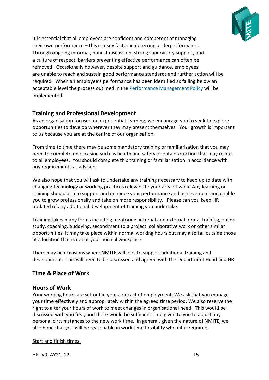

It is essential that all employees are confident and competent at managing their own performance – this is a key factor in deterring underperformance. Through ongoing informal, honest discussion, strong supervisory support, and a culture of respect, barriers preventing effective performance can often be removed. Occasionally however, despite support and guidance, employees are unable to reach and sustain good performance standards and further action will be required. When an employee's performance has been identified as falling below an acceptable level the process outlined in the Performance Management Policy will be implemented.

# **Training and Professional Development**

As an organisation focused on experiential learning, we encourage you to seek to explore opportunities to develop wherever they may present themselves. Your growth is important to us because you are at the centre of our organisation.

From time to time there may be some mandatory training or familiarisation that you may need to complete on occasion such as health and safety or data protection that may relate to all employees. You should complete this training or familiarisation in accordance with any requirements as advised.

We also hope that you will ask to undertake any training necessary to keep up to date with changing technology or working practices relevant to your area of work. Any learning or training should aim to support and enhance your performance and achievement and enable you to grow professionally and take on more responsibility. Please can you keep HR updated of any additional development of training you undertake.

Training takes many forms including mentoring, internal and external formal training, online study, coaching, buddying, secondment to a project, collaborative work or other similar opportunities. It may take place within normal working hours but may also fall outside those at a location that is not at your normal workplace.

There may be occasions where NMITE will look to support additional training and development. This will need to be discussed and agreed with the Department Head and HR.

# **Time & Place of Work**

# **Hours of Work**

Your working hours are set out in your contract of employment. We ask that you manage your time effectively and appropriately within the agreed time period. We also reserve the right to alter your hours of work to meet changes in organisational need. This would be discussed with you first, and there would be sufficient time given to you to adjust any personal circumstances to the new work time. In general, given the nature of NMITE, we also hope that you will be reasonable in work time flexibility when it is required.

## Start and finish times.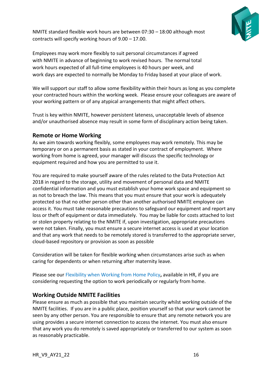

NMITE standard flexible work hours are between 07:30 – 18:00 although most contracts will specify working hours of 9.00 – 17.00.

Employees may work more flexibly to suit personal circumstances if agreed with NMITE in advance of beginning to work revised hours. The normal total work hours expected of all full-time employees is 40 hours per week, and work days are expected to normally be Monday to Friday based at your place of work.

We will support our staff to allow some flexibility within their hours as long as you complete your contracted hours within the working week. Please ensure your colleagues are aware of your working pattern or of any atypical arrangements that might affect others.

Trust is key within NMITE, however persistent lateness, unacceptable levels of absence and/or unauthorised absence may result in some form of disciplinary action being taken.

#### **Remote or Home Working**

As we aim towards working flexibly, some employees may work remotely. This may be temporary or on a permanent basis as stated in your contract of employment. Where working from home is agreed, your manager will discuss the specific technology or equipment required and how you are permitted to use it.

You are required to make yourself aware of the rules related to the Data Protection Act 2018 in regard to the storage, utility and movement of personal data and NMITE confidential information and you must establish your home work space and equipment so as not to breach the law. This means that you must ensure that your work is adequately protected so that no other person other than another authorised NMITE employee can access it. You must take reasonable precautions to safeguard our equipment and report any loss or theft of equipment or data immediately. You may be liable for costs attached to lost or stolen property relating to the NMITE if, upon investigation, appropriate precautions were not taken. Finally, you must ensure a secure internet access is used at your location and that any work that needs to be remotely stored is transferred to the appropriate server, cloud-based repository or provision as soon as possible

Consideration will be taken for flexible working when circumstances arise such as when caring for dependents or when returning after maternity leave.

Please see our Flexibility when Working from Home Policy**,** available in HR, if you are considering requesting the option to work periodically or regularly from home.

## **Working Outside NMITE Facilities**

Please ensure as much as possible that you maintain security whilst working outside of the NMITE facilities. If you are in a public place, position yourself so that your work cannot be seen by any other person. You are responsible to ensure that any remote network you are using provides a secure internet connection to access the internet. You must also ensure that any work you do remotely is saved appropriately or transferred to our system as soon as reasonably practicable.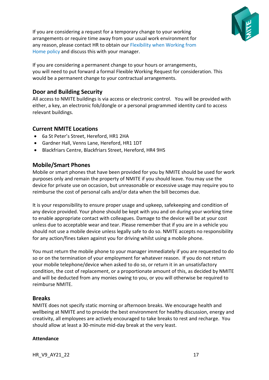

If you are considering a request for a temporary change to your working arrangements or require time away from your usual work environment for any reason, please contact HR to obtain our Flexibility when Working from Home policy and discuss this with your manager.

If you are considering a permanent change to your hours or arrangements, you will need to put forward a formal Flexible Working Request for consideration. This would be a permanent change to your contractual arrangements.

## **Door and Building Security**

All access to NMITE buildings is via access or electronic control. You will be provided with either, a key, an electronic fob/dongle or a personal programmed identity card to access relevant buildings.

## **Current NMITE Locations**

- 6a St Peter's Street, Hereford, HR1 2HA
- Gardner Hall, Venns Lane, Hereford, HR1 1DT
- Blackfriars Centre, Blackfriars Street, Hereford, HR4 9HS

## **Mobile/Smart Phones**

Mobile or smart phones that have been provided for you by NMITE should be used for work purposes only and remain the property of NMITE if you should leave. You may use the device for private use on occasion, but unreasonable or excessive usage may require you to reimburse the cost of personal calls and/or data when the bill becomes due.

It is your responsibility to ensure proper usage and upkeep, safekeeping and condition of any device provided. Your phone should be kept with you and on during your working time to enable appropriate contact with colleagues. Damage to the device will be at your cost unless due to acceptable wear and tear. Please remember that if you are in a vehicle you should not use a mobile device unless legally safe to do so. NMITE accepts no responsibility for any action/fines taken against you for driving whilst using a mobile phone.

You must return the mobile phone to your manager immediately if you are requested to do so or on the termination of your employment for whatever reason. If you do not return your mobile telephone/device when asked to do so, or return it in an unsatisfactory condition, the cost of replacement, or a proportionate amount of this, as decided by NMITE and will be deducted from any monies owing to you, or you will otherwise be required to reimburse NMITE.

## **Breaks**

NMITE does not specify static morning or afternoon breaks. We encourage health and wellbeing at NMITE and to provide the best environment for healthy discussion, energy and creativity, all employees are actively encouraged to take breaks to rest and recharge. You should allow at least a 30-minute mid-day break at the very least.

#### **Attendance**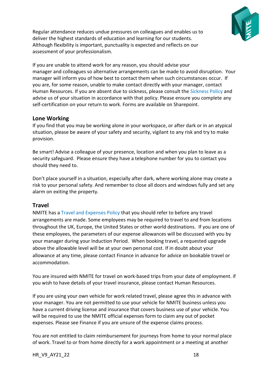

Regular attendance reduces undue pressures on colleagues and enables us to deliver the highest standards of education and learning for our students. Although flexibility is important, punctuality is expected and reflects on our assessment of your professionalism.

If you are unable to attend work for any reason, you should advise your manager and colleagues so alternative arrangements can be made to avoid disruption. Your manager will inform you of how best to contact them when such circumstances occur. If you are, for some reason, unable to make contact directly with your manager, contact Human Resources. If you are absent due to sickness, please consult the Sickness Policy and advise us of your situation in accordance with that policy. Please ensure you complete any self-certification on your return to work. Forms are available on Sharepoint.

#### **Lone Working**

If you find that you may be working alone in your workspace, or after dark or in an atypical situation, please be aware of your safety and security, vigilant to any risk and try to make provision.

Be smart! Advise a colleague of your presence, location and when you plan to leave as a security safeguard. Please ensure they have a telephone number for you to contact you should they need to.

Don't place yourself in a situation, especially after dark, where working alone may create a risk to your personal safety. And remember to close all doors and windows fully and set any alarm on exiting the property.

## **Travel**

NMITE has a Travel and Expenses Policy that you should refer to before any travel arrangements are made. Some employees may be required to travel to and from locations throughout the UK, Europe, the United States or other world destinations. If you are one of these employees, the parameters of our expense allowances will be discussed with you by your manager during your Induction Period. When booking travel, a requested upgrade above the allowable level will be at your own personal cost. If in doubt about your allowance at any time, please contact Finance in advance for advice on bookable travel or accommodation.

You are insured with NMITE for travel on work-based trips from your date of employment. if you wish to have details of your travel insurance, please contact Human Resources.

If you are using your own vehicle for work related travel, please agree this in advance with your manager. You are not permitted to use your vehicle for NMITE business unless you have a current driving license and insurance that covers business use of your vehicle. You will be required to use the NMITE official expenses form to claim any out of pocket expenses. Please see Finance if you are unsure of the expense claims process.

You are not entitled to claim reimbursement for journeys from home to your normal place of work. Travel to or from home directly for a work appointment or a meeting at another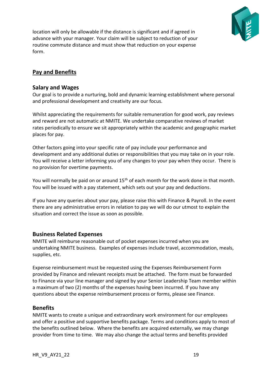

location will only be allowable if the distance is significant and if agreed in advance with your manager. Your claim will be subject to reduction of your routine commute distance and must show that reduction on your expense form.

# **Pay and Benefits**

#### **Salary and Wages**

Our goal is to provide a nurturing, bold and dynamic learning establishment where personal and professional development and creativity are our focus.

Whilst appreciating the requirements for suitable remuneration for good work, pay reviews and reward are not automatic at NMITE. We undertake comparative reviews of market rates periodically to ensure we sit appropriately within the academic and geographic market places for pay.

Other factors going into your specific rate of pay include your performance and development and any additional duties or responsibilities that you may take on in your role. You will receive a letter informing you of any changes to your pay when they occur. There is no provision for overtime payments.

You will normally be paid on or around 15<sup>th</sup> of each month for the work done in that month. You will be issued with a pay statement, which sets out your pay and deductions.

If you have any queries about your pay, please raise this with Finance & Payroll. In the event there are any administrative errors in relation to pay we will do our utmost to explain the situation and correct the issue as soon as possible.

## **Business Related Expenses**

NMITE will reimburse reasonable out of pocket expenses incurred when you are undertaking NMITE business. Examples of expenses include travel, accommodation, meals, supplies, etc.

Expense reimbursement must be requested using the Expenses Reimbursement Form provided by Finance and relevant receipts must be attached. The form must be forwarded to Finance via your line manager and signed by your Senior Leadership Team member within a maximum of two (2) months of the expenses having been incurred. If you have any questions about the expense reimbursement process or forms, please see Finance.

## **Benefits**

NMITE wants to create a unique and extraordinary work environment for our employees and offer a positive and supportive benefits package. Terms and conditions apply to most of the benefits outlined below. Where the benefits are acquired externally, we may change provider from time to time. We may also change the actual terms and benefits provided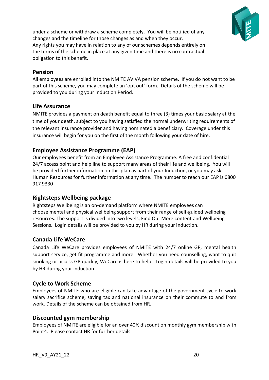

under a scheme or withdraw a scheme completely. You will be notified of any changes and the timeline for those changes as and when they occur. Any rights you may have in relation to any of our schemes depends entirely on the terms of the scheme in place at any given time and there is no contractual obligation to this benefit.

## **Pension**

All employees are enrolled into the NMITE AVIVA pension scheme. If you do not want to be part of this scheme, you may complete an 'opt out' form. Details of the scheme will be provided to you during your Induction Period.

## **Life Assurance**

NMITE provides a payment on death benefit equal to three (3) times your basic salary at the time of your death, subject to you having satisfied the normal underwriting requirements of the relevant insurance provider and having nominated a beneficiary. Coverage under this insurance will begin for you on the first of the month following your date of hire.

## **Employee Assistance Programme (EAP)**

Our employees benefit from an Employee Assistance Programme. A free and confidential 24/7 access point and help line to support many areas of their life and wellbeing. You will be provided further information on this plan as part of your Induction, or you may ask Human Resources for further information at any time. The number to reach our EAP is 0800 917 9330

## **Rightsteps Wellbeing package**

Rightsteps Wellbeing is an on-demand platform where NMITE employees can choose mental and physical wellbeing support from their range of self-guided wellbeing resources. The support is divided into two levels, Find Out More content and Wellbeing Sessions. Login details will be provided to you by HR during your induction.

## **Canada Life WeCare**

Canada Life WeCare provides employees of NMITE with 24/7 online GP, mental health support service, get fit programme and more. Whether you need counselling, want to quit smoking or access GP quickly, WeCare is here to help. Login details will be provided to you by HR during your induction.

## **Cycle to Work Scheme**

Employees of NMITE who are eligible can take advantage of the government cycle to work salary sacrifice scheme, saving tax and national insurance on their commute to and from work. Details of the scheme can be obtained from HR.

## **Discounted gym membership**

Employees of NMITE are eligible for an over 40% discount on monthly gym membership with Point4. Please contact HR for further details.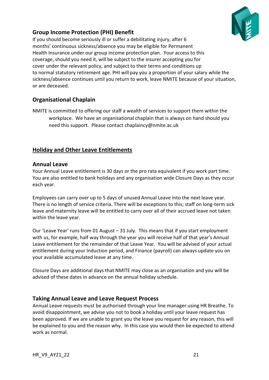

# **Group Income Protection (PHI) Benefit**

If you should become seriously ill or suffer a debilitating injury, after 6 months' continuous sickness/absence you may be eligible for Permanent Health Insurance under our group income protection plan. Your access to this coverage, should you need it, will be subject to the insurer accepting you for cover under the relevant policy, and subject to their terms and conditions up to normal statutory retirement age. PHI will pay you a proportion of your salary while the sickness/absence continues until you return to work, leave NMITE because of your situation, or are deceased.

# **Organisational Chaplain**

NMITE is committed to offering our staff a wealth of services to support them within the workplace. We have an organisational chaplain that is always on hand should you need this support. Please contac[t chaplaincy@nmite.ac.uk](mailto:chaplaincy@nmite.ac.uk)

## **Holiday and Other Leave Entitlements**

#### **Annual Leave**

Your Annual Leave entitlement is 30 days or the pro rata equivalent if you work part time. You are also entitled to bank holidays and any organisation wide Closure Days as they occur each year.

Employees can carry over up to 5 days of unused Annual Leave into the next leave year. There is no length of service criteria. There will be exceptions to this; staff on long-term sick leave and maternity leave will be entitled to carry over all of their accrued leave not taken within the leave year.

Our 'Leave Year' runs from 01 August – 31 July. This means that if you start employment with us, for example, half way through the year you will receive half of that year's Annual Leave entitlement for the remainder of that Leave Year. You will be advised of your actual entitlement during your Induction period, and Finance (payroll) can always update you on your available accumulated leave at any time.

Closure Days are additional days that NMITE may close as an organisation and you will be advised of these dates in advance on the annual holiday schedule.

## **Taking Annual Leave and Leave Request Process**

Annual Leave requests must be authorised through your line manager using HR Breathe. To avoid disappointment, we advise you not to book a holiday until your leave request has been approved. If we are unable to grant you the leave you request for any reason, this will be explained to you and the reason why. In this case you would then be expected to attend work as normal.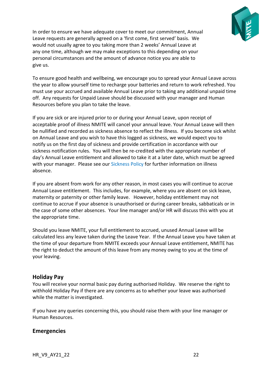

In order to ensure we have adequate cover to meet our commitment, Annual Leave requests are generally agreed on a 'first come, first served' basis. We would not usually agree to you taking more than 2 weeks' Annual Leave at any one time, although we may make exceptions to this depending on your personal circumstances and the amount of advance notice you are able to give us.

To ensure good health and wellbeing, we encourage you to spread your Annual Leave across the year to allow yourself time to recharge your batteries and return to work refreshed. You must use your accrued and available Annual Leave prior to taking any additional unpaid time off. Any requests for Unpaid Leave should be discussed with your manager and Human Resources before you plan to take the leave.

If you are sick or are injured prior to or during your Annual Leave, upon receipt of acceptable proof of illness NMITE will cancel your annual leave. Your Annual Leave will then be nullified and recorded as sickness absence to reflect the illness. If you become sick whilst on Annual Leave and you wish to have this logged as sickness, we would expect you to notify us on the first day of sickness and provide certification in accordance with our sickness notification rules. You will then be re-credited with the appropriate number of day's Annual Leave entitlement and allowed to take it at a later date, which must be agreed with your manager. Please see our Sickness Policy for further information on illness absence.

If you are absent from work for any other reason, in most cases you will continue to accrue Annual Leave entitlement. This includes, for example, where you are absent on sick leave, maternity or paternity or other family leave. However, holiday entitlement may not continue to accrue if your absence is unauthorised or during career breaks, sabbaticals or in the case of some other absences. Your line manager and/or HR will discuss this with you at the appropriate time.

Should you leave NMITE, your full entitlement to accrued, unused Annual Leave will be calculated less any leave taken during the Leave Year. If the Annual Leave you have taken at the time of your departure from NMITE exceeds your Annual Leave entitlement, NMITE has the right to deduct the amount of this leave from any money owing to you at the time of your leaving.

## **Holiday Pay**

You will receive your normal basic pay during authorised Holiday. We reserve the right to withhold Holiday Pay if there are any concerns as to whether your leave was authorised while the matter is investigated.

If you have any queries concerning this, you should raise them with your line manager or Human Resources.

## **Emergencies**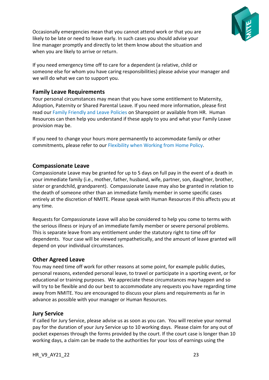

Occasionally emergencies mean that you cannot attend work or that you are likely to be late or need to leave early. In such cases you should advise your line manager promptly and directly to let them know about the situation and when you are likely to arrive or return.

If you need emergency time off to care for a dependent (a relative, child or someone else for whom you have caring responsibilities) please advise your manager and we will do what we can to support you.

## **Family Leave Requirements**

Your personal circumstances may mean that you have some entitlement to Maternity, Adoption, Paternity or Shared Parental Leave. If you need more information, please first read our Family Friendly and Leave Policies on Sharepoint or available from HR. Human Resources can then help you understand if these apply to you and what your Family Leave provision may be.

If you need to change your hours more permanently to accommodate family or other commitments, please refer to our Flexibility when Working from Home Policy.

## **Compassionate Leave**

Compassionate Leave may be granted for up to 5 days on full pay in the event of a death in your immediate family (i.e., mother, father, husband, wife, partner, son, daughter, brother, sister or grandchild, grandparent). Compassionate Leave may also be granted in relation to the death of someone other than an immediate family member in some specific cases entirely at the discretion of NMITE. Please speak with Human Resources if this affects you at any time.

Requests for Compassionate Leave will also be considered to help you come to terms with the serious illness or injury of an immediate family member or severe personal problems. This is separate leave from any entitlement under the statutory right to time off for dependents. Your case will be viewed sympathetically, and the amount of leave granted will depend on your individual circumstances.

# **Other Agreed Leave**

You may need time off work for other reasons at some point, for example public duties, personal reasons, extended personal leave, to travel or participate in a sporting event, or for educational or training purposes. We appreciate these circumstances may happen and so will try to be flexible and do our best to accommodate any requests you have regarding time away from NMITE. You are encouraged to discuss your plans and requirements as far in advance as possible with your manager or Human Resources.

## **Jury Service**

If called for Jury Service, please advise us as soon as you can. You will receive your normal pay for the duration of your Jury Service up to 10 working days. Please claim for any out of pocket expenses through the forms provided by the court. If the court case is longer than 10 working days, a claim can be made to the authorities for your loss of earnings using the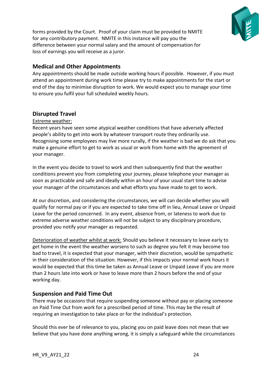

forms provided by the Court. Proof of your claim must be provided to NMITE for any contributory payment. NMITE in this instance will pay you the difference between your normal salary and the amount of compensation for loss of earnings you will receive as a juror.

# **Medical and Other Appointments**

Any appointments should be made outside working hours if possible. However, if you must attend an appointment during work time please try to make appointments for the start or end of the day to minimise disruption to work. We would expect you to manage your time to ensure you fulfil your full scheduled weekly hours.

## **Disrupted Travel**

#### Extreme weather:

Recent years have seen some atypical weather conditions that have adversely affected people's ability to get into work by whatever transport route they ordinarily use. Recognising some employees may live more rurally, if the weather is bad we do ask that you make a genuine effort to get to work as usual or work from home with the agreement of your manager.

In the event you decide to travel to work and then subsequently find that the weather conditions prevent you from completing your journey, please telephone your manager as soon as practicable and safe and ideally within an hour of your usual start time to advise your manager of the circumstances and what efforts you have made to get to work.

At our discretion, and considering the circumstances, we will can decide whether you will qualify for normal pay or if you are expected to take time off in lieu, Annual Leave or Unpaid Leave for the period concerned. In any event, absence from, or lateness to work due to extreme adverse weather conditions will not be subject to any disciplinary procedure, provided you notify your manager as requested.

Deterioration of weather whilst at work: Should you believe it necessary to leave early to get home in the event the weather worsens to such as degree you felt it may become too bad to travel, it is expected that your manager, with their discretion, would be sympathetic in their consideration of the situation. However, if this impacts your normal work hours it would be expected that this time be taken as Annual Leave or Unpaid Leave if you are more than 2 hours late into work or have to leave more than 2 hours before the end of your working day.

## **Suspension and Paid Time Out**

There may be occasions that require suspending someone without pay or placing someone on Paid Time Out from work for a prescribed period of time. This may be the result of requiring an investigation to take place or for the individual's protection.

Should this ever be of relevance to you, placing you on paid leave does not mean that we believe that you have done anything wrong, it is simply a safeguard while the circumstances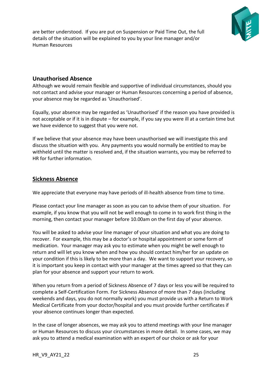

are better understood. If you are put on Suspension or Paid Time Out, the full details of the situation will be explained to you by your line manager and/or Human Resources

## **Unauthorised Absence**

Although we would remain flexible and supportive of individual circumstances, should you not contact and advise your manager or Human Resources concerning a period of absence, your absence may be regarded as 'Unauthorised'.

Equally, your absence may be regarded as 'Unauthorised' if the reason you have provided is not acceptable or if it is in dispute – for example, if you say you were ill at a certain time but we have evidence to suggest that you were not.

If we believe that your absence may have been unauthorised we will investigate this and discuss the situation with you. Any payments you would normally be entitled to may be withheld until the matter is resolved and, if the situation warrants, you may be referred to HR for further information.

## **Sickness Absence**

We appreciate that everyone may have periods of ill-health absence from time to time.

Please contact your line manager as soon as you can to advise them of your situation. For example, if you know that you will not be well enough to come in to work first thing in the morning, then contact your manager before 10.00am on the first day of your absence.

You will be asked to advise your line manager of your situation and what you are doing to recover. For example, this may be a doctor's or hospital appointment or some form of medication. Your manager may ask you to estimate when you might be well enough to return and will let you know when and how you should contact him/her for an update on your condition if this is likely to be more than a day. We want to support your recovery, so it is important you keep in contact with your manager at the times agreed so that they can plan for your absence and support your return to work.

When you return from a period of Sickness Absence of 7 days or less you will be required to complete a Self-Certification Form. For Sickness Absence of more than 7 days (including weekends and days, you do not normally work) you must provide us with a Return to Work Medical Certificate from your doctor/hospital and you must provide further certificates if your absence continues longer than expected.

In the case of longer absences, we may ask you to attend meetings with your line manager or Human Resources to discuss your circumstances in more detail. In some cases, we may ask you to attend a medical examination with an expert of our choice or ask for your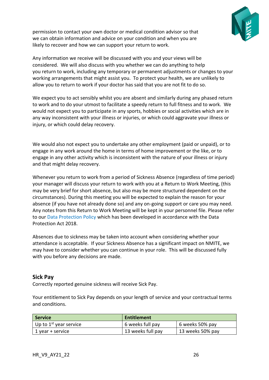

permission to contact your own doctor or medical condition advisor so that we can obtain information and advice on your condition and when you are likely to recover and how we can support your return to work.

Any information we receive will be discussed with you and your views will be considered. We will also discuss with you whether we can do anything to help you return to work, including any temporary or permanent adjustments or changes to your working arrangements that might assist you. To protect your health, we are unlikely to allow you to return to work if your doctor has said that you are not fit to do so.

We expect you to act sensibly whilst you are absent and similarly during any phased return to work and to do your utmost to facilitate a speedy return to full fitness and to work. We would not expect you to participate in any sports, hobbies or social activities which are in any way inconsistent with your illness or injuries, or which could aggravate your illness or injury, or which could delay recovery.

We would also not expect you to undertake any other employment (paid or unpaid), or to engage in any work around the home in terms of home improvement or the like, or to engage in any other activity which is inconsistent with the nature of your illness or injury and that might delay recovery.

Whenever you return to work from a period of Sickness Absence (regardless of time period) your manager will discuss your return to work with you at a Return to Work Meeting, (this may be very brief for short absence, but also may be more structured dependent on the circumstances). During this meeting you will be expected to explain the reason for your absence (if you have not already done so) and any on-going support or care you may need. Any notes from this Return to Work Meeting will be kept in your personnel file. Please refer to our Data Protection Policy which has been developed in accordance with the Data Protection Act 2018.

Absences due to sickness may be taken into account when considering whether your attendance is acceptable. If your Sickness Absence has a significant impact on NMITE, we may have to consider whether you can continue in your role. This will be discussed fully with you before any decisions are made.

#### **Sick Pay**

Correctly reported genuine sickness will receive Sick Pay.

Your entitlement to Sick Pay depends on your length of service and your contractual terms and conditions.

| <b>Service</b>           | Entitlement       |                  |
|--------------------------|-------------------|------------------|
| Up to $1st$ year service | 6 weeks full pay  | 6 weeks 50% pay  |
| 1 year + service         | 13 weeks full pay | 13 weeks 50% pay |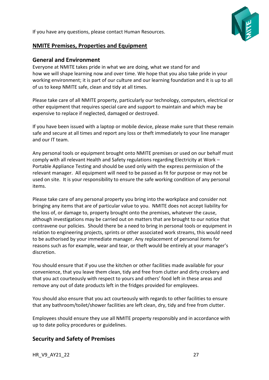If you have any questions, please contact Human Resources.



# **NMITE Premises, Properties and Equipment**

#### **General and Environment**

Everyone at NMITE takes pride in what we are doing, what we stand for and how we will shape learning now and over time. We hope that you also take pride in your working environment; it is part of our culture and our learning foundation and it is up to all of us to keep NMITE safe, clean and tidy at all times.

Please take care of all NMITE property, particularly our technology, computers, electrical or other equipment that requires special care and support to maintain and which may be expensive to replace if neglected, damaged or destroyed.

If you have been issued with a laptop or mobile device, please make sure that these remain safe and secure at all times and report any loss or theft immediately to your line manager and our IT team.

Any personal tools or equipment brought onto NMITE premises or used on our behalf must comply with all relevant Health and Safety regulations regarding Electricity at Work – Portable Appliance Testing and should be used only with the express permission of the relevant manager. All equipment will need to be passed as fit for purpose or may not be used on site. It is your responsibility to ensure the safe working condition of any personal items.

Please take care of any personal property you bring into the workplace and consider not bringing any items that are of particular value to you. NMITE does not accept liability for the loss of, or damage to, property brought onto the premises, whatever the cause, although investigations may be carried out on matters that are brought to our notice that contravene our policies. Should there be a need to bring in personal tools or equipment in relation to engineering projects, sprints or other associated work streams, this would need to be authorised by your immediate manager. Any replacement of personal items for reasons such as for example, wear and tear, or theft would be entirely at your manager's discretion.

You should ensure that if you use the kitchen or other facilities made available for your convenience, that you leave them clean, tidy and free from clutter and dirty crockery and that you act courteously with respect to yours and others' food left in these areas and remove any out of date products left in the fridges provided for employees.

You should also ensure that you act courteously with regards to other facilities to ensure that any bathroom/toilet/shower facilities are left clean, dry, tidy and free from clutter.

Employees should ensure they use all NMITE property responsibly and in accordance with up to date policy procedures or guidelines.

# **Security and Safety of Premises**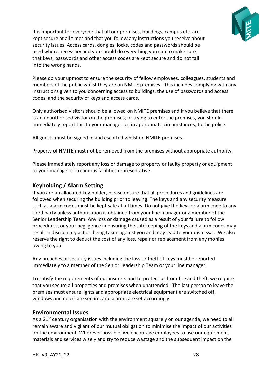

It is important for everyone that all our premises, buildings, campus etc. are kept secure at all times and that you follow any instructions you receive about security issues. Access cards, dongles, locks, codes and passwords should be used where necessary and you should do everything you can to make sure that keys, passwords and other access codes are kept secure and do not fall into the wrong hands.

Please do your upmost to ensure the security of fellow employees, colleagues, students and members of the public whilst they are on NMITE premises. This includes complying with any instructions given to you concerning access to buildings, the use of passwords and access codes, and the security of keys and access cards.

Only authorised visitors should be allowed on NMITE premises and if you believe that there is an unauthorised visitor on the premises, or trying to enter the premises, you should immediately report this to your manager or, in appropriate circumstances, to the police.

All guests must be signed in and escorted whilst on NMITE premises.

Property of NMITE must not be removed from the premises without appropriate authority.

Please immediately report any loss or damage to property or faulty property or equipment to your manager or a campus facilities representative.

## **Keyholding / Alarm Setting**

If you are an allocated key holder, please ensure that all procedures and guidelines are followed when securing the building prior to leaving. The keys and any security measure such as alarm codes must be kept safe at all times. Do not give the keys or alarm code to any third party unless authorisation is obtained from your line manager or a member of the Senior Leadership Team. Any loss or damage caused as a result of your failure to follow procedures, or your negligence in ensuring the safekeeping of the keys and alarm codes may result in disciplinary action being taken against you and may lead to your dismissal. We also reserve the right to deduct the cost of any loss, repair or replacement from any monies owing to you.

Any breaches or security issues including the loss or theft of keys must be reported immediately to a member of the Senior Leadership Team or your line manager.

To satisfy the requirements of our insurers and to protect us from fire and theft, we require that you secure all properties and premises when unattended. The last person to leave the premises must ensure lights and appropriate electrical equipment are switched off, windows and doors are secure, and alarms are set accordingly.

## **Environmental Issues**

As a 21<sup>st</sup> century organisation with the environment squarely on our agenda, we need to all remain aware and vigilant of our mutual obligation to minimise the impact of our activities on the environment. Wherever possible, we encourage employees to use our equipment, materials and services wisely and try to reduce wastage and the subsequent impact on the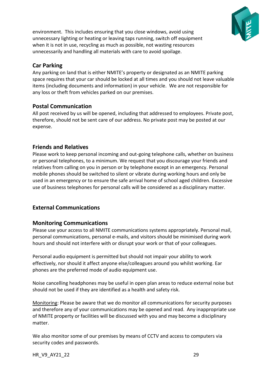

environment. This includes ensuring that you close windows, avoid using unnecessary lighting or heating or leaving taps running, switch off equipment when it is not in use, recycling as much as possible, not wasting resources unnecessarily and handling all materials with care to avoid spoilage.

# **Car Parking**

Any parking on land that is either NMITE's property or designated as an NMITE parking space requires that your car should be locked at all times and you should not leave valuable items (including documents and information) in your vehicle. We are not responsible for any loss or theft from vehicles parked on our premises.

# **Postal Communication**

All post received by us will be opened, including that addressed to employees. Private post, therefore, should not be sent care of our address. No private post may be posted at our expense.

# **Friends and Relatives**

Please work to keep personal incoming and out-going telephone calls, whether on business or personal telephones, to a minimum. We request that you discourage your friends and relatives from calling on you in person or by telephone except in an emergency. Personal mobile phones should be switched to silent or vibrate during working hours and only be used in an emergency or to ensure the safe arrival home of school aged children. Excessive use of business telephones for personal calls will be considered as a disciplinary matter.

# **External Communications**

## **Monitoring Communications**

Please use your access to all NMITE communications systems appropriately. Personal mail, personal communications, personal e-mails, and visitors should be minimised during work hours and should not interfere with or disrupt your work or that of your colleagues.

Personal audio equipment is permitted but should not impair your ability to work effectively, nor should it affect anyone else/colleagues around you whilst working. Ear phones are the preferred mode of audio equipment use.

Noise cancelling headphones may be useful in open plan areas to reduce external noise but should not be used if they are identified as a health and safety risk.

Monitoring: Please be aware that we do monitor all communications for security purposes and therefore any of your communications may be opened and read. Any inappropriate use of NMITE property or facilities will be discussed with you and may become a disciplinary matter.

We also monitor some of our premises by means of CCTV and access to computers via security codes and passwords.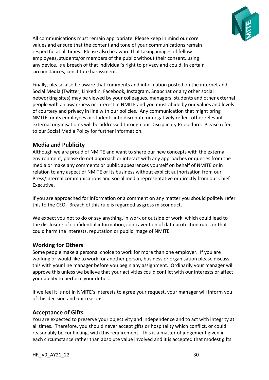

All communications must remain appropriate. Please keep in mind our core values and ensure that the content and tone of your communications remain respectful at all times. Please also be aware that taking images of fellow employees, students/or members of the public without their consent, using any device, is a breach of that individual's right to privacy and could, in certain circumstances, constitute harassment.

Finally, please also be aware that comments and information posted on the internet and Social Media (Twitter, LinkedIn, Facebook, Instagram, Snapchat or any other social networking sites) may be viewed by your colleagues, managers, students and other external people with an awareness or interest in NMITE and you must abide by our values and levels of courtesy and privacy in line with our policies. Any communication that might bring NMITE, or its employees or students into disrepute or negatively reflect other relevant external organisation's will be addressed through our Disciplinary Procedure. Please refer to our Social Media Policy for further information.

## **Media and Publicity**

Although we are proud of NMITE and want to share our new concepts with the external environment, please do not approach or interact with any approaches or queries from the media or make any comments or public appearances yourself on behalf of NMITE or in relation to any aspect of NMITE or its business without explicit authorisation from our Press/internal communications and social media representative or directly from our Chief Executive.

If you are approached for information or a comment on any matter you should politely refer this to the CEO. Breach of this rule is regarded as gross misconduct.

We expect you not to do or say anything, in work or outside of work, which could lead to the disclosure of confidential information, contravention of data protection rules or that could harm the interests, reputation or public image of NMITE.

## **Working for Others**

Some people make a personal choice to work for more than one employer. If you are working or would like to work for another person, business or organisation please discuss this with your line manager before you begin any assignment. Ordinarily your manager will approve this unless we believe that your activities could conflict with our interests or affect your ability to perform your duties.

If we feel it is not in NMITE's interests to agree your request, your manager will inform you of this decision and our reasons.

## **Acceptance of Gifts**

You are expected to preserve your objectivity and independence and to act with integrity at all times. Therefore, you should never accept gifts or hospitality which conflict, or could reasonably be conflicting, with this requirement. This is a matter of judgement given in each circumstance rather than absolute value involved and it is accepted that modest gifts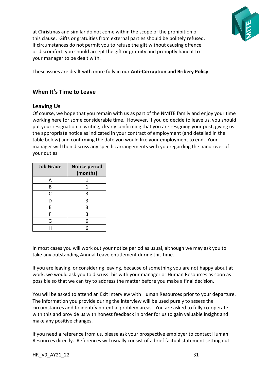

at Christmas and similar do not come within the scope of the prohibition of this clause. Gifts or gratuities from external parties should be politely refused. If circumstances do not permit you to refuse the gift without causing offence or discomfort, you should accept the gift or gratuity and promptly hand it to your manager to be dealt with.

These issues are dealt with more fully in our **Anti-Corruption and Bribery Policy**.

## **When It's Time to Leave**

#### **Leaving Us**

Of course, we hope that you remain with us as part of the NMITE family and enjoy your time working here for some considerable time. However, if you do decide to leave us, you should put your resignation in writing, clearly confirming that you are resigning your post, giving us the appropriate notice as indicated in your contract of employment (and detailed in the table below) and confirming the date you would like your employment to end. Your manager will then discuss any specific arrangements with you regarding the hand-over of your duties.

| <b>Job Grade</b> | <b>Notice period</b><br>(months) |
|------------------|----------------------------------|
| A                | 1                                |
| В                | 1                                |
| C                | 3                                |
| D                | 3                                |
| E                | 3                                |
| F                | 3                                |
| G                | 6                                |
|                  |                                  |

In most cases you will work out your notice period as usual, although we may ask you to take any outstanding Annual Leave entitlement during this time.

If you are leaving, or considering leaving, because of something you are not happy about at work, we would ask you to discuss this with your manager or Human Resources as soon as possible so that we can try to address the matter before you make a final decision.

You will be asked to attend an Exit Interview with Human Resources prior to your departure. The information you provide during the interview will be used purely to assess the circumstances and to identify potential problem areas. You are asked to fully co-operate with this and provide us with honest feedback in order for us to gain valuable insight and make any positive changes.

If you need a reference from us, please ask your prospective employer to contact Human Resources directly. References will usually consist of a brief factual statement setting out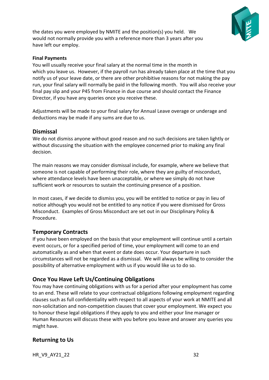

the dates you were employed by NMITE and the position(s) you held. We would not normally provide you with a reference more than 3 years after you have left our employ.

#### **Final Payments**

You will usually receive your final salary at the normal time in the month in which you leave us. However, if the payroll run has already taken place at the time that you notify us of your leave date, or there are other prohibitive reasons for not making the pay run, your final salary will normally be paid in the following month. You will also receive your final pay slip and your P45 from Finance in due course and should contact the Finance Director, if you have any queries once you receive these.

Adjustments will be made to your final salary for Annual Leave overage or underage and deductions may be made if any sums are due to us.

#### **Dismissal**

We do not dismiss anyone without good reason and no such decisions are taken lightly or without discussing the situation with the employee concerned prior to making any final decision.

The main reasons we may consider dismissal include, for example, where we believe that someone is not capable of performing their role, where they are guilty of misconduct, where attendance levels have been unacceptable, or where we simply do not have sufficient work or resources to sustain the continuing presence of a position.

In most cases, if we decide to dismiss you, you will be entitled to notice or pay in lieu of notice although you would not be entitled to any notice if you were dismissed for Gross Misconduct. Examples of Gross Misconduct are set out in our Disciplinary Policy & Procedure.

## **Temporary Contracts**

If you have been employed on the basis that your employment will continue until a certain event occurs, or for a specified period of time, your employment will come to an end automatically as and when that event or date does occur. Your departure in such circumstances will not be regarded as a dismissal. We will always be willing to consider the possibility of alternative employment with us if you would like us to do so.

# **Once You Have Left Us/Continuing Obligations**

You may have continuing obligations with us for a period after your employment has come to an end. These will relate to your contractual obligations following employment regarding clauses such as full confidentiality with respect to all aspects of your work at NMITE and all non-solicitation and non-competition clauses that cover your employment. We expect you to honour these legal obligations if they apply to you and either your line manager or Human Resources will discuss these with you before you leave and answer any queries you might have.

# **Returning to Us**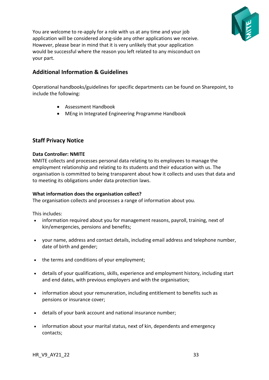

You are welcome to re-apply for a role with us at any time and your job application will be considered along-side any other applications we receive. However, please bear in mind that it is very unlikely that your application would be successful where the reason you left related to any misconduct on your part.

# **Additional Information & Guidelines**

Operational handbooks/guidelines for specific departments can be found on Sharepoint, to include the following:

- Assessment Handbook
- MEng in Integrated Engineering Programme Handbook

## **Staff Privacy Notice**

#### **Data Controller: NMITE**

NMITE collects and processes personal data relating to its employees to manage the employment relationship and relating to its students and their education with us. The organisation is committed to being transparent about how it collects and uses that data and to meeting its obligations under data protection laws.

#### **What information does the organisation collect?**

The organisation collects and processes a range of information about you.

This includes:

- information required about you for management reasons, payroll, training, next of kin/emergencies, pensions and benefits;
- your name, address and contact details, including email address and telephone number, date of birth and gender;
- the terms and conditions of your employment;
- details of your qualifications, skills, experience and employment history, including start and end dates, with previous employers and with the organisation;
- information about your remuneration, including entitlement to benefits such as pensions or insurance cover;
- details of your bank account and national insurance number;
- information about your marital status, next of kin, dependents and emergency contacts;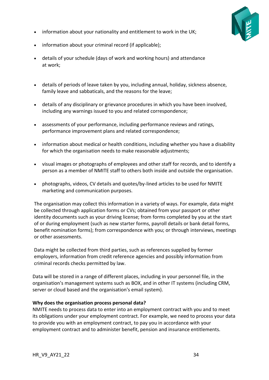

- information about your nationality and entitlement to work in the UK;
- information about your criminal record (if applicable);
- details of your schedule (days of work and working hours) and attendance at work;
- details of periods of leave taken by you, including annual, holiday, sickness absence, family leave and sabbaticals, and the reasons for the leave;
- details of any disciplinary or grievance procedures in which you have been involved, including any warnings issued to you and related correspondence;
- assessments of your performance, including performance reviews and ratings, performance improvement plans and related correspondence;
- information about medical or health conditions, including whether you have a disability for which the organisation needs to make reasonable adjustments;
- visual images or photographs of employees and other staff for records, and to identify a person as a member of NMITE staff to others both inside and outside the organisation.
- photographs, videos, CV details and quotes/by-lined articles to be used for NMITE marketing and communication purposes.

The organisation may collect this information in a variety of ways. For example, data might be collected through application forms or CVs; obtained from your passport or other identity documents such as your driving license; from forms completed by you at the start of or during employment (such as new starter forms, payroll details or bank detail forms, benefit nomination forms); from correspondence with you; or through interviews, meetings or other assessments.

Data might be collected from third parties, such as references supplied by former employers, information from credit reference agencies and possibly information from criminal records checks permitted by law.

Data will be stored in a range of different places, including in your personnel file, in the organisation's management systems such as BOX, and in other IT systems (including CRM, server or cloud based and the organisation's email system).

#### **Why does the organisation process personal data?**

NMITE needs to process data to enter into an employment contract with you and to meet its obligations under your employment contract. For example, we need to process your data to provide you with an employment contract, to pay you in accordance with your employment contract and to administer benefit, pension and insurance entitlements.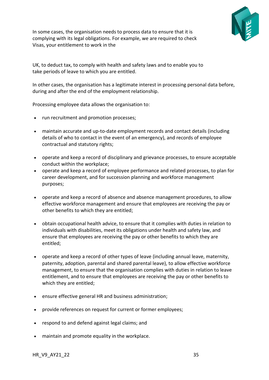

In some cases, the organisation needs to process data to ensure that it is complying with its legal obligations. For example, we are required to check Visas, your entitlement to work in the

UK, to deduct tax, to comply with health and safety laws and to enable you to take periods of leave to which you are entitled.

In other cases, the organisation has a legitimate interest in processing personal data before, during and after the end of the employment relationship.

Processing employee data allows the organisation to:

- run recruitment and promotion processes;
- maintain accurate and up-to-date employment records and contact details (including details of who to contact in the event of an emergency), and records of employee contractual and statutory rights;
- operate and keep a record of disciplinary and grievance processes, to ensure acceptable conduct within the workplace;
- operate and keep a record of employee performance and related processes, to plan for career development, and for succession planning and workforce management purposes;
- operate and keep a record of absence and absence management procedures, to allow effective workforce management and ensure that employees are receiving the pay or other benefits to which they are entitled;
- obtain occupational health advice, to ensure that it complies with duties in relation to individuals with disabilities, meet its obligations under health and safety law, and ensure that employees are receiving the pay or other benefits to which they are entitled;
- operate and keep a record of other types of leave (including annual leave, maternity, paternity, adoption, parental and shared parental leave), to allow effective workforce management, to ensure that the organisation complies with duties in relation to leave entitlement, and to ensure that employees are receiving the pay or other benefits to which they are entitled;
- ensure effective general HR and business administration;
- provide references on request for current or former employees;
- respond to and defend against legal claims; and
- maintain and promote equality in the workplace.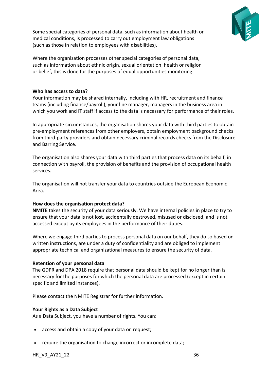

Some special categories of personal data, such as information about health or medical conditions, is processed to carry out employment law obligations (such as those in relation to employees with disabilities).

Where the organisation processes other special categories of personal data, such as information about ethnic origin, sexual orientation, health or religion or belief, this is done for the purposes of equal opportunities monitoring.

#### **Who has access to data?**

Your information may be shared internally, including with HR, recruitment and finance teams (including finance/payroll), your line manager, managers in the business area in which you work and IT staff if access to the data is necessary for performance of their roles.

In appropriate circumstances, the organisation shares your data with third parties to obtain pre-employment references from other employers, obtain employment background checks from third-party providers and obtain necessary criminal records checks from the Disclosure and Barring Service.

The organisation also shares your data with third parties that process data on its behalf, in connection with payroll, the provision of benefits and the provision of occupational health services.

The organisation will not transfer your data to countries outside the European Economic Area.

#### **How does the organisation protect data?**

**NMITE** takes the security of your data seriously. We have internal policies in place to try to ensure that your data is not lost, accidentally destroyed, misused or disclosed, and is not accessed except by its employees in the performance of their duties.

Where we engage third parties to process personal data on our behalf, they do so based on written instructions, are under a duty of confidentiality and are obliged to implement appropriate technical and organizational measures to ensure the security of data.

#### **Retention of your personal data**

The GDPR and DPA 2018 require that personal data should be kept for no longer than is necessary for the purposes for which the personal data are processed (except in certain specific and limited instances).

Please contact [the NMITE Registrar](mailto:Registrar@nmite.org.uk) for further information.

#### **Your Rights as a Data Subject**

As a Data Subject, you have a number of rights. You can:

- access and obtain a copy of your data on request;
- require the organisation to change incorrect or incomplete data;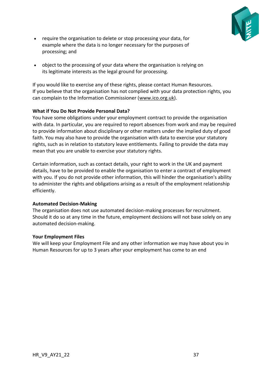

- require the organisation to delete or stop processing your data, for example where the data is no longer necessary for the purposes of processing; and
- object to the processing of your data where the organisation is relying on its legitimate interests as the legal ground for processing.

If you would like to exercise any of these rights, please contact Human Resources. If you believe that the organisation has not complied with your data protection rights, you can complain to the Information Commissioner [\(www.ico.org.uk\)](http://www.ico.org.uk/).

#### **What if You Do Not Provide Personal Data?**

You have some obligations under your employment contract to provide the organisation with data. In particular, you are required to report absences from work and may be required to provide information about disciplinary or other matters under the implied duty of good faith. You may also have to provide the organisation with data to exercise your statutory rights, such as in relation to statutory leave entitlements. Failing to provide the data may mean that you are unable to exercise your statutory rights.

Certain information, such as contact details, your right to work in the UK and payment details, have to be provided to enable the organisation to enter a contract of employment with you. If you do not provide other information, this will hinder the organisation's ability to administer the rights and obligations arising as a result of the employment relationship efficiently.

#### **Automated Decision-Making**

The organisation does not use automated decision-making processes for recruitment. Should it do so at any time in the future, employment decisions will not base solely on any automated decision-making.

#### **Your Employment Files**

We will keep your Employment File and any other information we may have about you in Human Resources for up to 3 years after your employment has come to an end